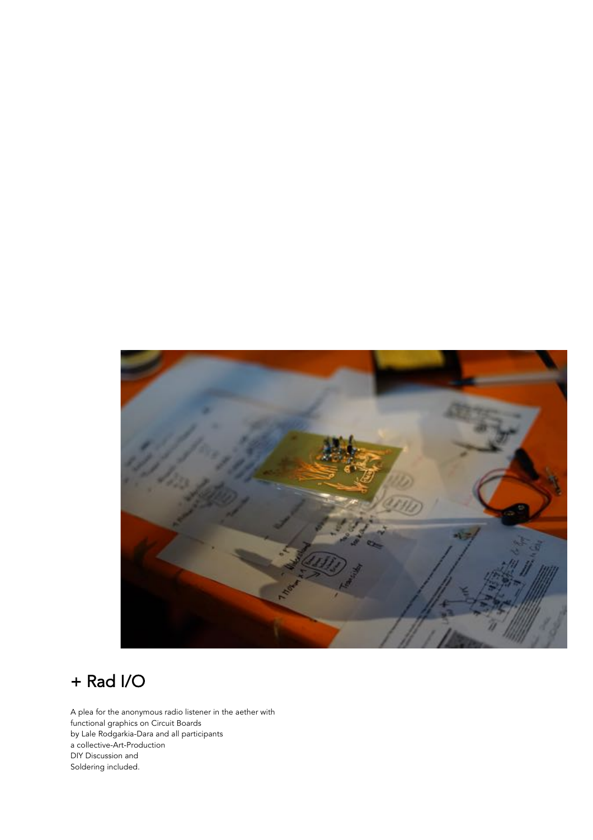

# + Rad I/O

A plea for the anonymous radio listener in the aether with functional graphics on Circuit Boards by Lale Rodgarkia-Dara and all participants a collective-Art-Production DIY Discussion and Soldering included.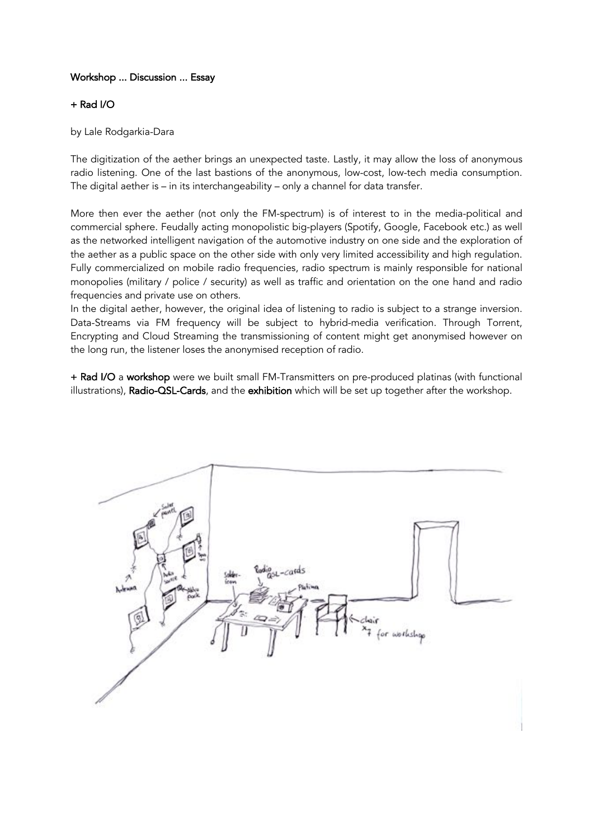## Workshop ... Discussion ... Essay

### + Rad I/O

by Lale Rodgarkia-Dara

The digitization of the aether brings an unexpected taste. Lastly, it may allow the loss of anonymous radio listening. One of the last bastions of the anonymous, low-cost, low-tech media consumption. The digital aether is – in its interchangeability – only a channel for data transfer.

More then ever the aether (not only the FM-spectrum) is of interest to in the media-political and commercial sphere. Feudally acting monopolistic big-players (Spotify, Google, Facebook etc.) as well as the networked intelligent navigation of the automotive industry on one side and the exploration of the aether as a public space on the other side with only very limited accessibility and high regulation. Fully commercialized on mobile radio frequencies, radio spectrum is mainly responsible for national monopolies (military / police / security) as well as traffic and orientation on the one hand and radio frequencies and private use on others.

In the digital aether, however, the original idea of listening to radio is subject to a strange inversion. Data-Streams via FM frequency will be subject to hybrid-media verification. Through Torrent, Encrypting and Cloud Streaming the transmissioning of content might get anonymised however on the long run, the listener loses the anonymised reception of radio.

+ Rad I/O a workshop were we built small FM-Transmitters on pre-produced platinas (with functional illustrations), Radio-QSL-Cards, and the exhibition which will be set up together after the workshop.

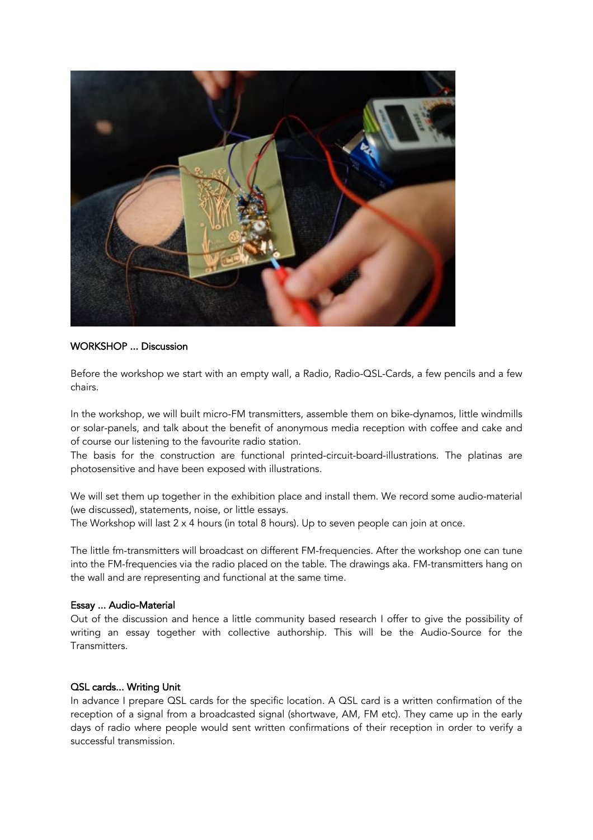

#### WORKSHOP ... Discussion

Before the workshop we start with an empty wall, a Radio, Radio-QSL-Cards, a few pencils and a few chairs.

In the workshop, we will built micro-FM transmitters, assemble them on bike-dynamos, little windmills or solar-panels, and talk about the benefit of anonymous media reception with coffee and cake and of course our listening to the favourite radio station.

The basis for the construction are functional printed-circuit-board-illustrations. The platinas are photosensitive and have been exposed with illustrations.

We will set them up together in the exhibition place and install them. We record some audio-material (we discussed), statements, noise, or little essays.

The Workshop will last  $2 \times 4$  hours (in total 8 hours). Up to seven people can join at once.

The little fm-transmitters will broadcast on different FM-frequencies. After the workshop one can tune into the FM-frequencies via the radio placed on the table. The drawings aka. FM-transmitters hang on the wall and are representing and functional at the same time.

#### Essay ... Audio-Material

Out of the discussion and hence a little community based research I offer to give the possibility of writing an essay together with collective authorship. This will be the Audio-Source for the Transmitters.

#### QSL cards... Writing Unit

In advance I prepare QSL cards for the specific location. A QSL card is a written confirmation of the reception of a signal from a broadcasted signal (shortwave, AM, FM etc). They came up in the early days of radio where people would sent written confirmations of their reception in order to verify a successful transmission.